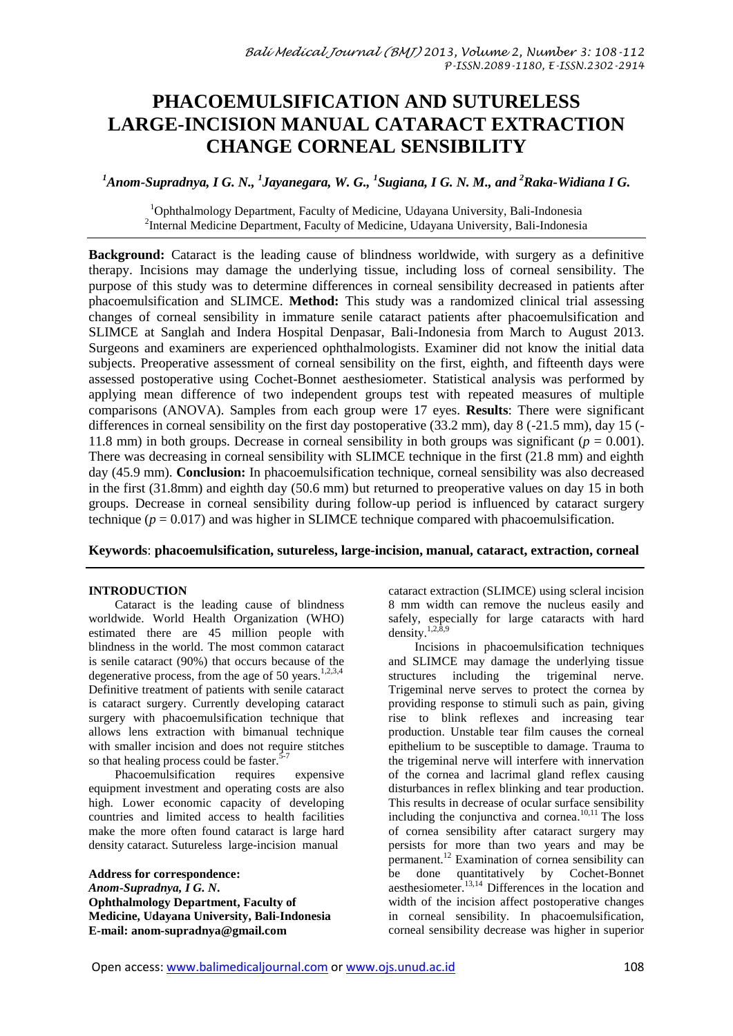# **PHACOEMULSIFICATION AND SUTURELESS LARGE-INCISION MANUAL CATARACT EXTRACTION CHANGE CORNEAL SENSIBILITY**

*<sup>1</sup>Anom-Supradnya, I G. N., 1 Jayanegara, W. G., 1 Sugiana, I G. N. M., and <sup>2</sup>Raka-Widiana I G.*

<sup>1</sup>Ophthalmology Department, Faculty of Medicine, Udayana University, Bali-Indonesia <sup>2</sup>Internal Medicine Department, Faculty of Medicine, Udayana University, Bali-Indonesia

**Background:** Cataract is the leading cause of blindness worldwide, with surgery as a definitive therapy. Incisions may damage the underlying tissue, including loss of corneal sensibility. The purpose of this study was to determine differences in corneal sensibility decreased in patients after phacoemulsification and SLIMCE. **Method:** This study was a randomized clinical trial assessing changes of corneal sensibility in immature senile cataract patients after phacoemulsification and SLIMCE at Sanglah and Indera Hospital Denpasar, Bali-Indonesia from March to August 2013. Surgeons and examiners are experienced ophthalmologists. Examiner did not know the initial data subjects. Preoperative assessment of corneal sensibility on the first, eighth, and fifteenth days were assessed postoperative using Cochet-Bonnet aesthesiometer. Statistical analysis was performed by applying mean difference of two independent groups test with repeated measures of multiple comparisons (ANOVA). Samples from each group were 17 eyes. **Results**: There were significant differences in corneal sensibility on the first day postoperative (33.2 mm), day 8 (-21.5 mm), day 15 (- 11.8 mm) in both groups. Decrease in corneal sensibility in both groups was significant ( $p = 0.001$ ). There was decreasing in corneal sensibility with SLIMCE technique in the first (21.8 mm) and eighth day (45.9 mm). **Conclusion:** In phacoemulsification technique, corneal sensibility was also decreased in the first (31.8mm) and eighth day (50.6 mm) but returned to preoperative values on day 15 in both groups. Decrease in corneal sensibility during follow-up period is influenced by cataract surgery technique  $(p = 0.017)$  and was higher in SLIMCE technique compared with phacoemulsification.

**Keywords**: **phacoemulsification, sutureless, large-incision, manual, cataract, extraction, corneal** 

# **INTRODUCTION**

Cataract is the leading cause of blindness worldwide. World Health Organization (WHO) estimated there are 45 million people with blindness in the world. The most common cataract is senile cataract (90%) that occurs because of the degenerative process, from the age of 50 years.<sup>1,2,3,4</sup> Definitive treatment of patients with senile cataract is cataract surgery. Currently developing cataract surgery with phacoemulsification technique that allows lens extraction with bimanual technique with smaller incision and does not require stitches so that healing process could be faster. $5-7$ 

Phacoemulsification requires expensive equipment investment and operating costs are also high. Lower economic capacity of developing countries and limited access to health facilities make the more often found cataract is large hard density cataract. Sutureless large-incision manual

**Address for correspondence:** *Anom-Supradnya, I G. N***. Ophthalmology Department, Faculty of Medicine, Udayana University, Bali-Indonesia E-mail: anom-supradnya@gmail.com**

cataract extraction (SLIMCE) using scleral incision 8 mm width can remove the nucleus easily and safely, especially for large cataracts with hard density. $1,2,\overline{8},9$ 

Incisions in phacoemulsification techniques and SLIMCE may damage the underlying tissue structures including the trigeminal nerve. Trigeminal nerve serves to protect the cornea by providing response to stimuli such as pain, giving rise to blink reflexes and increasing tear production. Unstable tear film causes the corneal epithelium to be susceptible to damage. Trauma to the trigeminal nerve will interfere with innervation of the cornea and lacrimal gland reflex causing disturbances in reflex blinking and tear production. This results in decrease of ocular surface sensibility including the conjunctiva and cornea.<sup>10,11</sup> The loss of cornea sensibility after cataract surgery may persists for more than two years and may be permanent.<sup>12</sup> Examination of cornea sensibility can be done quantitatively by Cochet-Bonnet aesthesiometer. 13,14 Differences in the location and width of the incision affect postoperative changes in corneal sensibility. In phacoemulsification, corneal sensibility decrease was higher in superior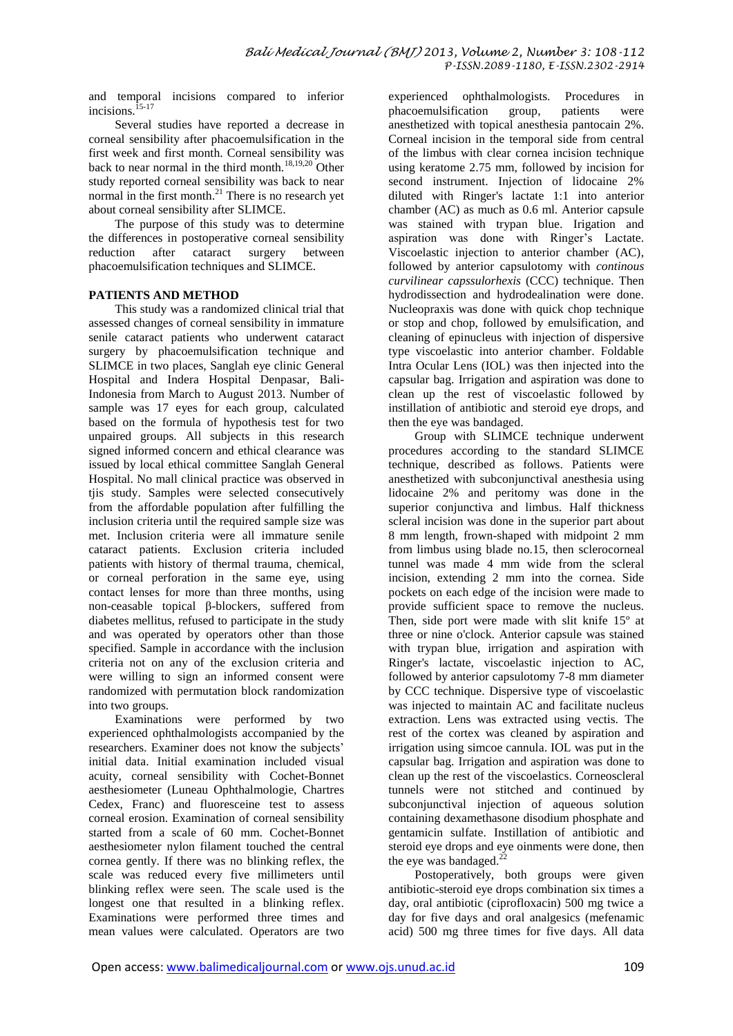and temporal incisions compared to inferior incisions. 15-17

Several studies have reported a decrease in corneal sensibility after phacoemulsification in the first week and first month. Corneal sensibility was back to near normal in the third month.<sup>18,19,20</sup> Other study reported corneal sensibility was back to near normal in the first month. $^{21}$  There is no research yet about corneal sensibility after SLIMCE.

The purpose of this study was to determine the differences in postoperative corneal sensibility reduction after cataract surgery between phacoemulsification techniques and SLIMCE.

# **PATIENTS AND METHOD**

This study was a randomized clinical trial that assessed changes of corneal sensibility in immature senile cataract patients who underwent cataract surgery by phacoemulsification technique and SLIMCE in two places, Sanglah eye clinic General Hospital and Indera Hospital Denpasar, Bali-Indonesia from March to August 2013. Number of sample was 17 eyes for each group, calculated based on the formula of hypothesis test for two unpaired groups. All subjects in this research signed informed concern and ethical clearance was issued by local ethical committee Sanglah General Hospital. No mall clinical practice was observed in tjis study. Samples were selected consecutively from the affordable population after fulfilling the inclusion criteria until the required sample size was met. Inclusion criteria were all immature senile cataract patients. Exclusion criteria included patients with history of thermal trauma, chemical, or corneal perforation in the same eye, using contact lenses for more than three months, using non-ceasable topical β-blockers, suffered from diabetes mellitus, refused to participate in the study and was operated by operators other than those specified. Sample in accordance with the inclusion criteria not on any of the exclusion criteria and were willing to sign an informed consent were randomized with permutation block randomization into two groups.

Examinations were performed by two experienced ophthalmologists accompanied by the researchers. Examiner does not know the subjects' initial data. Initial examination included visual acuity, corneal sensibility with Cochet-Bonnet aesthesiometer (Luneau Ophthalmologie, Chartres Cedex, Franc) and fluoresceine test to assess corneal erosion. Examination of corneal sensibility started from a scale of 60 mm. Cochet-Bonnet aesthesiometer nylon filament touched the central cornea gently. If there was no blinking reflex, the scale was reduced every five millimeters until blinking reflex were seen. The scale used is the longest one that resulted in a blinking reflex. Examinations were performed three times and mean values were calculated. Operators are two

experienced ophthalmologists. Procedures in phacoemulsification group, patients were anesthetized with topical anesthesia pantocain 2%. Corneal incision in the temporal side from central of the limbus with clear cornea incision technique using keratome 2.75 mm, followed by incision for second instrument. Injection of lidocaine 2% diluted with Ringer's lactate 1:1 into anterior chamber (AC) as much as 0.6 ml. Anterior capsule was stained with trypan blue. Irigation and aspiration was done with Ringer's Lactate. Viscoelastic injection to anterior chamber (AC), followed by anterior capsulotomy with *continous curvilinear capssulorhexis* (CCC) technique. Then hydrodissection and hydrodealination were done. Nucleopraxis was done with quick chop technique or stop and chop, followed by emulsification, and cleaning of epinucleus with injection of dispersive type viscoelastic into anterior chamber. Foldable Intra Ocular Lens (IOL) was then injected into the capsular bag. Irrigation and aspiration was done to clean up the rest of viscoelastic followed by instillation of antibiotic and steroid eye drops, and then the eye was bandaged.

Group with SLIMCE technique underwent procedures according to the standard SLIMCE technique, described as follows. Patients were anesthetized with subconjunctival anesthesia using lidocaine 2% and peritomy was done in the superior conjunctiva and limbus. Half thickness scleral incision was done in the superior part about 8 mm length, frown-shaped with midpoint 2 mm from limbus using blade no.15, then sclerocorneal tunnel was made 4 mm wide from the scleral incision, extending 2 mm into the cornea. Side pockets on each edge of the incision were made to provide sufficient space to remove the nucleus. Then, side port were made with slit knife 15º at three or nine o'clock. Anterior capsule was stained with trypan blue, irrigation and aspiration with Ringer's lactate, viscoelastic injection to AC, followed by anterior capsulotomy 7-8 mm diameter by CCC technique. Dispersive type of viscoelastic was injected to maintain AC and facilitate nucleus extraction. Lens was extracted using vectis. The rest of the cortex was cleaned by aspiration and irrigation using simcoe cannula. IOL was put in the capsular bag. Irrigation and aspiration was done to clean up the rest of the viscoelastics. Corneoscleral tunnels were not stitched and continued by subconjunctival injection of aqueous solution containing dexamethasone disodium phosphate and gentamicin sulfate. Instillation of antibiotic and steroid eye drops and eye oinments were done, then the eye was bandaged. $^{22}$ 

Postoperatively, both groups were given antibiotic-steroid eye drops combination six times a day, oral antibiotic (ciprofloxacin) 500 mg twice a day for five days and oral analgesics (mefenamic acid) 500 mg three times for five days. All data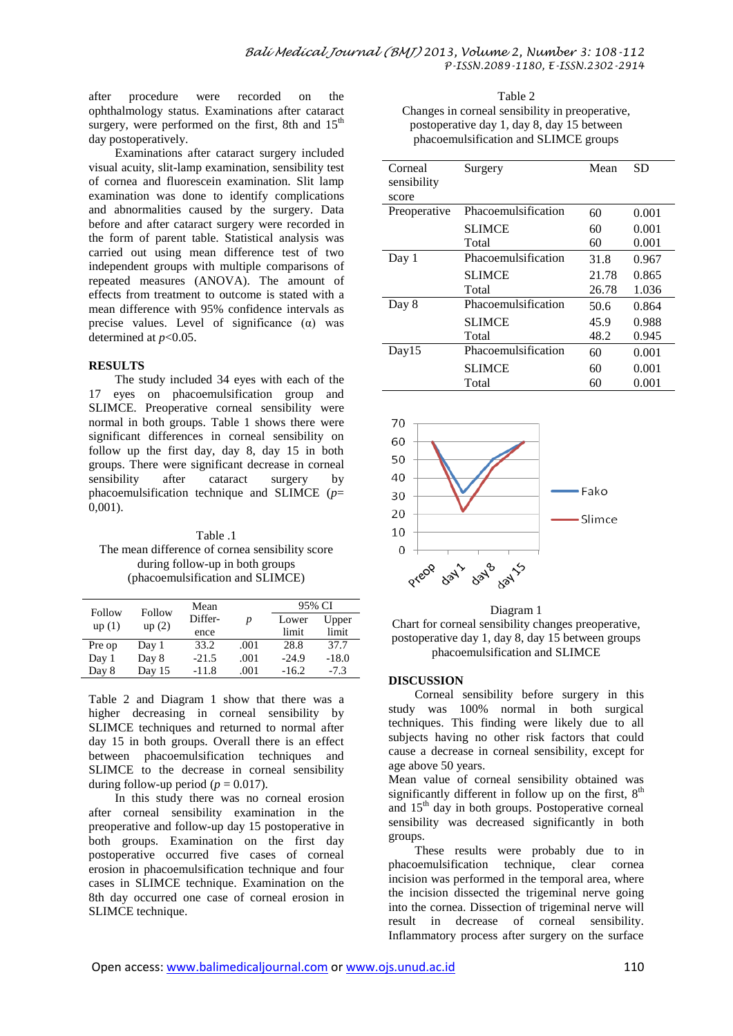after procedure were recorded on the ophthalmology status. Examinations after cataract surgery, were performed on the first, 8th and  $15<sup>th</sup>$ day postoperatively.

Examinations after cataract surgery included visual acuity, slit-lamp examination, sensibility test of cornea and fluorescein examination. Slit lamp examination was done to identify complications and abnormalities caused by the surgery. Data before and after cataract surgery were recorded in the form of parent table. Statistical analysis was carried out using mean difference test of two independent groups with multiple comparisons of repeated measures (ANOVA). The amount of effects from treatment to outcome is stated with a mean difference with 95% confidence intervals as precise values. Level of significance  $(\alpha)$  was determined at *p*<0.05.

#### **RESULTS**

The study included 34 eyes with each of the 17 eyes on phacoemulsification group and SLIMCE. Preoperative corneal sensibility were normal in both groups. Table 1 shows there were significant differences in corneal sensibility on follow up the first day, day 8, day 15 in both groups. There were significant decrease in corneal sensibility after cataract surgery by phacoemulsification technique and SLIMCE (*p*= 0,001).

Table 1 The mean difference of cornea sensibility score during follow-up in both groups (phacoemulsification and SLIMCE)

| Follow<br>up(1) | Follow<br>up(2) | Mean<br>Differ- | p    | 95% CI  |         |
|-----------------|-----------------|-----------------|------|---------|---------|
|                 |                 |                 |      | Lower   | Upper   |
|                 |                 | ence            |      | limit   | limit   |
| Pre op          | Day 1           | 33.2            | .001 | 28.8    | 37.7    |
| Day 1           | Day 8           | $-21.5$         | .001 | $-24.9$ | $-18.0$ |
| Day 8           | Day $15$        | $-11.8$         | .001 | $-16.2$ | $-7.3$  |

Table 2 and Diagram 1 show that there was a higher decreasing in corneal sensibility by SLIMCE techniques and returned to normal after day 15 in both groups. Overall there is an effect between phacoemulsification techniques and SLIMCE to the decrease in corneal sensibility during follow-up period ( $p = 0.017$ ).

In this study there was no corneal erosion after corneal sensibility examination in the preoperative and follow-up day 15 postoperative in both groups. Examination on the first day postoperative occurred five cases of corneal erosion in phacoemulsification technique and four cases in SLIMCE technique. Examination on the 8th day occurred one case of corneal erosion in SLIMCE technique.

| Table 2                                         |
|-------------------------------------------------|
| Changes in corneal sensibility in preoperative, |
| postoperative day 1, day 8, day 15 between      |
| phacoemulsification and SLIMCE groups           |

| Corneal<br>sensibility | Surgery             | Mean  | SD    |
|------------------------|---------------------|-------|-------|
| score                  |                     |       |       |
| Preoperative           | Phacoemulsification | 60    | 0.001 |
|                        | <b>SLIMCE</b>       | 60    | 0.001 |
|                        | Total               | 60    | 0.001 |
| Day 1                  | Phacoemulsification | 31.8  | 0.967 |
|                        | <b>SLIMCE</b>       | 21.78 | 0.865 |
|                        | Total               | 26.78 | 1.036 |
| Day 8                  | Phacoemulsification | 50.6  | 0.864 |
|                        | <b>SLIMCE</b>       | 45.9  | 0.988 |
|                        | Total               | 48.2  | 0.945 |
| Day15                  | Phacoemulsification | 60    | 0.001 |
|                        | <b>SLIMCE</b>       | 60    | 0.001 |
|                        | Total               | 60    | 0.001 |



#### Diagram 1

Chart for corneal sensibility changes preoperative, postoperative day 1, day 8, day 15 between groups phacoemulsification and SLIMCE

# **DISCUSSION**

Corneal sensibility before surgery in this study was 100% normal in both surgical techniques. This finding were likely due to all subjects having no other risk factors that could cause a decrease in corneal sensibility, except for age above 50 years.

Mean value of corneal sensibility obtained was significantly different in follow up on the first,  $8<sup>th</sup>$ and  $15<sup>th</sup>$  day in both groups. Postoperative corneal sensibility was decreased significantly in both groups.

These results were probably due to in phacoemulsification technique, clear cornea incision was performed in the temporal area, where the incision dissected the trigeminal nerve going into the cornea. Dissection of trigeminal nerve will result in decrease of corneal sensibility. Inflammatory process after surgery on the surface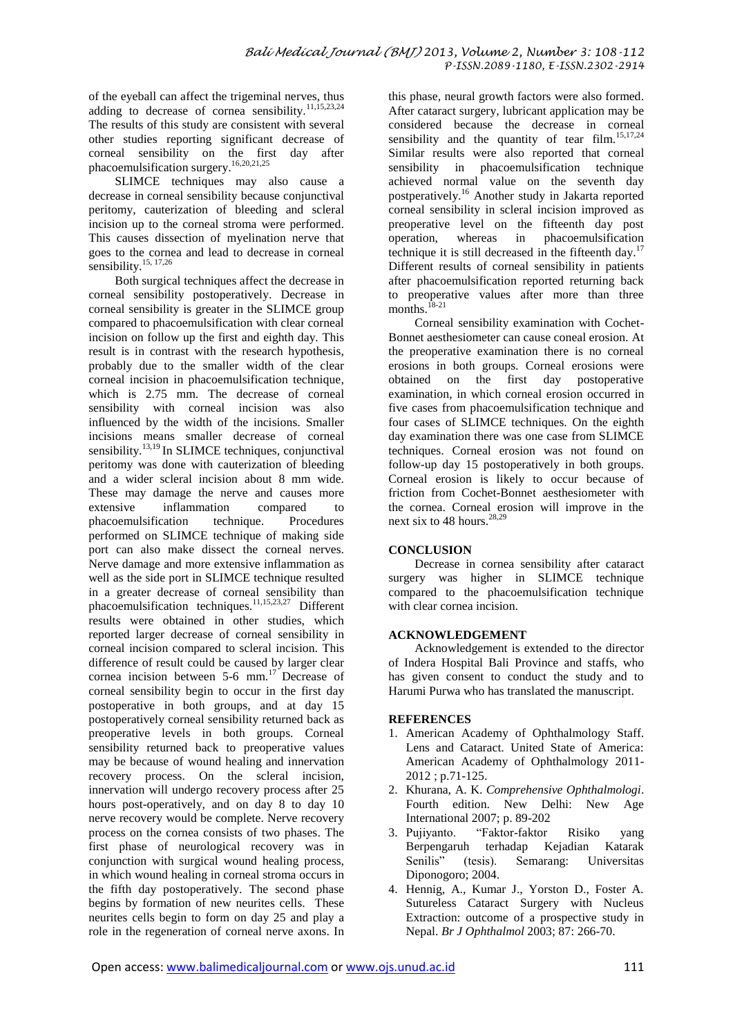of the eyeball can affect the trigeminal nerves, thus adding to decrease of cornea sensibility.<sup>11,15,23,24</sup> The results of this study are consistent with several other studies reporting significant decrease of corneal sensibility on the first day after phacoemulsification surgery. 16,20,21,25

SLIMCE techniques may also cause a decrease in corneal sensibility because conjunctival peritomy, cauterization of bleeding and scleral incision up to the corneal stroma were performed. This causes dissection of myelination nerve that goes to the cornea and lead to decrease in corneal sensibility.<sup>15, 17,26</sup>

Both surgical techniques affect the decrease in corneal sensibility postoperatively. Decrease in corneal sensibility is greater in the SLIMCE group compared to phacoemulsification with clear corneal incision on follow up the first and eighth day. This result is in contrast with the research hypothesis, probably due to the smaller width of the clear corneal incision in phacoemulsification technique, which is 2.75 mm. The decrease of corneal sensibility with corneal incision was also influenced by the width of the incisions. Smaller incisions means smaller decrease of corneal sensibility.<sup>13,19</sup> In SLIMCE techniques, conjunctival peritomy was done with cauterization of bleeding and a wider scleral incision about 8 mm wide. These may damage the nerve and causes more extensive inflammation compared to phacoemulsification technique. Procedures performed on SLIMCE technique of making side port can also make dissect the corneal nerves. Nerve damage and more extensive inflammation as well as the side port in SLIMCE technique resulted in a greater decrease of corneal sensibility than phacoemulsification techniques.<sup>11,15,23,27</sup> Different results were obtained in other studies, which reported larger decrease of corneal sensibility in corneal incision compared to scleral incision. This difference of result could be caused by larger clear cornea incision between 5-6 mm.<sup>17</sup> Decrease of corneal sensibility begin to occur in the first day postoperative in both groups, and at day 15 postoperatively corneal sensibility returned back as preoperative levels in both groups. Corneal sensibility returned back to preoperative values may be because of wound healing and innervation recovery process. On the scleral incision, innervation will undergo recovery process after 25 hours post-operatively, and on day 8 to day 10 nerve recovery would be complete. Nerve recovery process on the cornea consists of two phases. The first phase of neurological recovery was in conjunction with surgical wound healing process, in which wound healing in corneal stroma occurs in the fifth day postoperatively. The second phase begins by formation of new neurites cells. These neurites cells begin to form on day 25 and play a role in the regeneration of corneal nerve axons. In

this phase, neural growth factors were also formed. After cataract surgery, lubricant application may be considered because the decrease in corneal sensibility and the quantity of tear film.<sup>15,17,24</sup> Similar results were also reported that corneal sensibility in phacoemulsification technique achieved normal value on the seventh day postperatively. <sup>16</sup> Another study in Jakarta reported corneal sensibility in scleral incision improved as preoperative level on the fifteenth day post operation, whereas in phacoemulsification technique it is still decreased in the fifteenth day.<sup>17</sup> Different results of corneal sensibility in patients after phacoemulsification reported returning back to preoperative values after more than three months.<sup>18-21</sup>

Corneal sensibility examination with Cochet-Bonnet aesthesiometer can cause coneal erosion. At the preoperative examination there is no corneal erosions in both groups. Corneal erosions were obtained on the first day postoperative examination, in which corneal erosion occurred in five cases from phacoemulsification technique and four cases of SLIMCE techniques. On the eighth day examination there was one case from SLIMCE techniques. Corneal erosion was not found on follow-up day 15 postoperatively in both groups. Corneal erosion is likely to occur because of friction from Cochet-Bonnet aesthesiometer with the cornea. Corneal erosion will improve in the next six to 48 hours. 28,29

# **CONCLUSION**

Decrease in cornea sensibility after cataract surgery was higher in SLIMCE technique compared to the phacoemulsification technique with clear cornea incision.

# **ACKNOWLEDGEMENT**

Acknowledgement is extended to the director of Indera Hospital Bali Province and staffs, who has given consent to conduct the study and to Harumi Purwa who has translated the manuscript.

# **REFERENCES**

- 1. American Academy of Ophthalmology Staff. Lens and Cataract. United State of America: American Academy of Ophthalmology 2011- 2012 ; p.71-125.
- 2. Khurana, A. K. *Comprehensive Ophthalmologi*. Fourth edition. New Delhi: New Age International 2007; p. 89-202
- 3. Pujiyanto. "Faktor-faktor Risiko yang Berpengaruh terhadap Kejadian Katarak Senilis" (tesis). Semarang: Universitas Diponogoro; 2004.
- 4. Hennig, A., Kumar J., Yorston D., Foster A. Sutureless Cataract Surgery with Nucleus Extraction: outcome of a prospective study in Nepal. *Br J Ophthalmol* 2003; 87: 266-70.